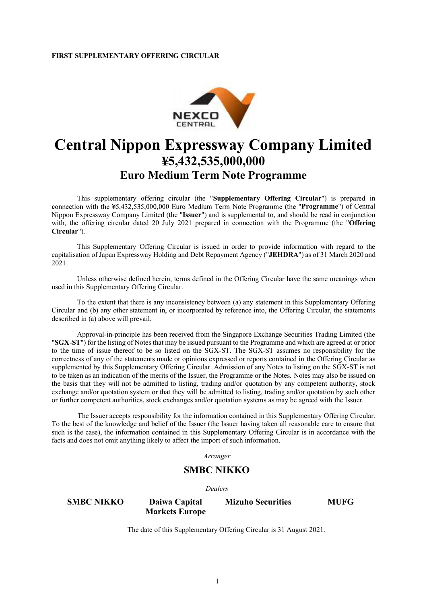

## **Central Nippon Expressway Company Limited 5,432,535,000,000 Euro Medium Term Note Programme**

This supplementary offering circular (the "**Supplementary Offering Circular**") is prepared in connection with the ¥5,432,535,000,000 Euro Medium Term Note Programme (the "Programme") of Central Nippon Expressway Company Limited (the "**Issuer**") and is supplemental to, and should be read in conjunction with, the offering circular dated 20 July 2021 prepared in connection with the Programme (the "**Offering Circular**").

This Supplementary Offering Circular is issued in order to provide information with regard to the capitalisation of Japan Expressway Holding and Debt Repayment Agency ("**JEHDRA**") as of 31 March 2020 and 2021.

Unless otherwise defined herein, terms defined in the Offering Circular have the same meanings when used in this Supplementary Offering Circular.

To the extent that there is any inconsistency between (a) any statement in this Supplementary Offering Circular and (b) any other statement in, or incorporated by reference into, the Offering Circular, the statements described in (a) above will prevail.

Approval-in-principle has been received from the Singapore Exchange Securities Trading Limited (the "**SGX-ST**") for the listing of Notes that may be issued pursuant to the Programme and which are agreed at or prior to the time of issue thereof to be so listed on the SGX-ST. The SGX-ST assumes no responsibility for the correctness of any of the statements made or opinions expressed or reports contained in the Offering Circular as supplemented by this Supplementary Offering Circular. Admission of any Notes to listing on the SGX-ST is not to be taken as an indication of the merits of the Issuer, the Programme or the Notes. Notes may also be issued on the basis that they will not be admitted to listing, trading and/or quotation by any competent authority, stock exchange and/or quotation system or that they will be admitted to listing, trading and/or quotation by such other or further competent authorities, stock exchanges and/or quotation systems as may be agreed with the Issuer.

The Issuer accepts responsibility for the information contained in this Supplementary Offering Circular. To the best of the knowledge and belief of the Issuer (the Issuer having taken all reasonable care to ensure that such is the case), the information contained in this Supplementary Offering Circular is in accordance with the facts and does not omit anything likely to affect the import of such information.

*Arranger*

## **SMBC NIKKO**

*Dealers*

**SMBC NIKKO Daiwa Capital Markets Europe Mizuho Securities MUFG**

The date of this Supplementary Offering Circular is 31 August 2021.